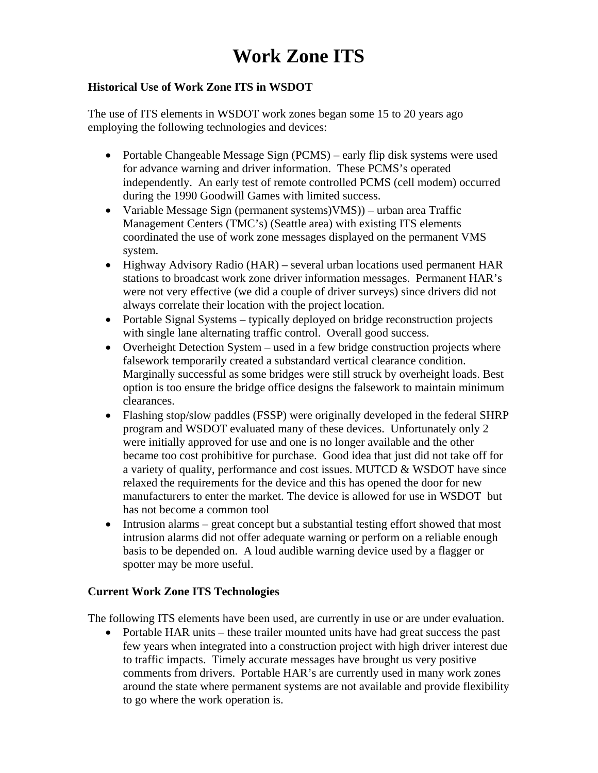# **Work Zone ITS**

# **Historical Use of Work Zone ITS in WSDOT**

The use of ITS elements in WSDOT work zones began some 15 to 20 years ago employing the following technologies and devices:

- Portable Changeable Message Sign (PCMS) early flip disk systems were used for advance warning and driver information. These PCMS's operated independently. An early test of remote controlled PCMS (cell modem) occurred during the 1990 Goodwill Games with limited success.
- Variable Message Sign (permanent systems)VMS)) urban area Traffic Management Centers (TMC's) (Seattle area) with existing ITS elements coordinated the use of work zone messages displayed on the permanent VMS system.
- Highway Advisory Radio (HAR) several urban locations used permanent HAR stations to broadcast work zone driver information messages. Permanent HAR's were not very effective (we did a couple of driver surveys) since drivers did not always correlate their location with the project location.
- Portable Signal Systems typically deployed on bridge reconstruction projects with single lane alternating traffic control. Overall good success.
- Overheight Detection System used in a few bridge construction projects where falsework temporarily created a substandard vertical clearance condition. Marginally successful as some bridges were still struck by overheight loads. Best option is too ensure the bridge office designs the falsework to maintain minimum clearances.
- Flashing stop/slow paddles (FSSP) were originally developed in the federal SHRP program and WSDOT evaluated many of these devices. Unfortunately only 2 were initially approved for use and one is no longer available and the other became too cost prohibitive for purchase. Good idea that just did not take off for a variety of quality, performance and cost issues. MUTCD & WSDOT have since relaxed the requirements for the device and this has opened the door for new manufacturers to enter the market. The device is allowed for use in WSDOT but has not become a common tool
- Intrusion alarms great concept but a substantial testing effort showed that most intrusion alarms did not offer adequate warning or perform on a reliable enough basis to be depended on. A loud audible warning device used by a flagger or spotter may be more useful.

#### **Current Work Zone ITS Technologies**

The following ITS elements have been used, are currently in use or are under evaluation.

• Portable HAR units – these trailer mounted units have had great success the past few years when integrated into a construction project with high driver interest due to traffic impacts. Timely accurate messages have brought us very positive comments from drivers. Portable HAR's are currently used in many work zones around the state where permanent systems are not available and provide flexibility to go where the work operation is.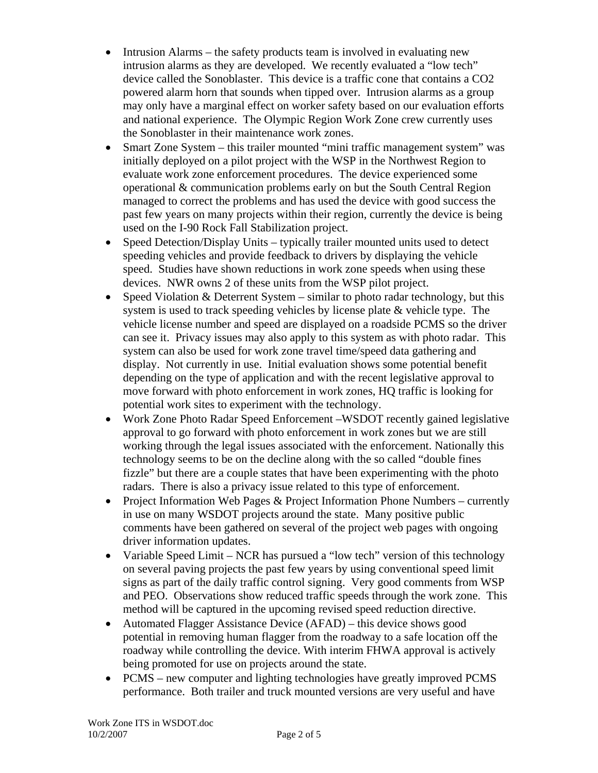- Intrusion Alarms the safety products team is involved in evaluating new intrusion alarms as they are developed. We recently evaluated a "low tech" device called the Sonoblaster. This device is a traffic cone that contains a CO2 powered alarm horn that sounds when tipped over. Intrusion alarms as a group may only have a marginal effect on worker safety based on our evaluation efforts and national experience. The Olympic Region Work Zone crew currently uses the Sonoblaster in their maintenance work zones.
- Smart Zone System this trailer mounted "mini traffic management system" was initially deployed on a pilot project with the WSP in the Northwest Region to evaluate work zone enforcement procedures. The device experienced some operational & communication problems early on but the South Central Region managed to correct the problems and has used the device with good success the past few years on many projects within their region, currently the device is being used on the I-90 Rock Fall Stabilization project.
- Speed Detection/Display Units typically trailer mounted units used to detect speeding vehicles and provide feedback to drivers by displaying the vehicle speed. Studies have shown reductions in work zone speeds when using these devices. NWR owns 2 of these units from the WSP pilot project.
- Speed Violation & Deterrent System similar to photo radar technology, but this system is used to track speeding vehicles by license plate & vehicle type. The vehicle license number and speed are displayed on a roadside PCMS so the driver can see it. Privacy issues may also apply to this system as with photo radar. This system can also be used for work zone travel time/speed data gathering and display. Not currently in use. Initial evaluation shows some potential benefit depending on the type of application and with the recent legislative approval to move forward with photo enforcement in work zones, HQ traffic is looking for potential work sites to experiment with the technology.
- Work Zone Photo Radar Speed Enforcement –WSDOT recently gained legislative approval to go forward with photo enforcement in work zones but we are still working through the legal issues associated with the enforcement. Nationally this technology seems to be on the decline along with the so called "double fines fizzle" but there are a couple states that have been experimenting with the photo radars. There is also a privacy issue related to this type of enforcement.
- Project Information Web Pages & Project Information Phone Numbers currently in use on many WSDOT projects around the state. Many positive public comments have been gathered on several of the project web pages with ongoing driver information updates.
- Variable Speed Limit NCR has pursued a "low tech" version of this technology on several paving projects the past few years by using conventional speed limit signs as part of the daily traffic control signing. Very good comments from WSP and PEO. Observations show reduced traffic speeds through the work zone. This method will be captured in the upcoming revised speed reduction directive.
- Automated Flagger Assistance Device (AFAD) this device shows good potential in removing human flagger from the roadway to a safe location off the roadway while controlling the device. With interim FHWA approval is actively being promoted for use on projects around the state.
- PCMS new computer and lighting technologies have greatly improved PCMS performance. Both trailer and truck mounted versions are very useful and have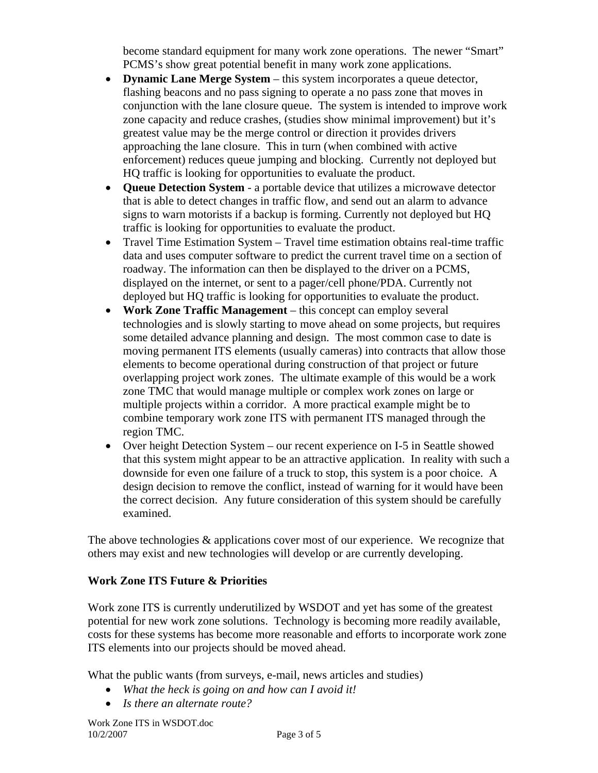become standard equipment for many work zone operations. The newer "Smart" PCMS's show great potential benefit in many work zone applications.

- **Dynamic Lane Merge System** this system incorporates a queue detector, flashing beacons and no pass signing to operate a no pass zone that moves in conjunction with the lane closure queue. The system is intended to improve work zone capacity and reduce crashes, (studies show minimal improvement) but it's greatest value may be the merge control or direction it provides drivers approaching the lane closure. This in turn (when combined with active enforcement) reduces queue jumping and blocking. Currently not deployed but HQ traffic is looking for opportunities to evaluate the product.
- **Queue Detection System** a portable device that utilizes a microwave detector that is able to detect changes in traffic flow, and send out an alarm to advance signs to warn motorists if a backup is forming. Currently not deployed but HQ traffic is looking for opportunities to evaluate the product.
- Travel Time Estimation System Travel time estimation obtains real-time traffic data and uses computer software to predict the current travel time on a section of roadway. The information can then be displayed to the driver on a PCMS, displayed on the internet, or sent to a pager/cell phone/PDA. Currently not deployed but HQ traffic is looking for opportunities to evaluate the product.
- **Work Zone Traffic Management** this concept can employ several technologies and is slowly starting to move ahead on some projects, but requires some detailed advance planning and design. The most common case to date is moving permanent ITS elements (usually cameras) into contracts that allow those elements to become operational during construction of that project or future overlapping project work zones. The ultimate example of this would be a work zone TMC that would manage multiple or complex work zones on large or multiple projects within a corridor. A more practical example might be to combine temporary work zone ITS with permanent ITS managed through the region TMC.
- Over height Detection System our recent experience on I-5 in Seattle showed that this system might appear to be an attractive application. In reality with such a downside for even one failure of a truck to stop, this system is a poor choice. A design decision to remove the conflict, instead of warning for it would have been the correct decision. Any future consideration of this system should be carefully examined.

The above technologies & applications cover most of our experience. We recognize that others may exist and new technologies will develop or are currently developing.

# **Work Zone ITS Future & Priorities**

Work zone ITS is currently underutilized by WSDOT and yet has some of the greatest potential for new work zone solutions. Technology is becoming more readily available, costs for these systems has become more reasonable and efforts to incorporate work zone ITS elements into our projects should be moved ahead.

What the public wants (from surveys, e-mail, news articles and studies)

- *What the heck is going on and how can I avoid it!*
- *Is there an alternate route?*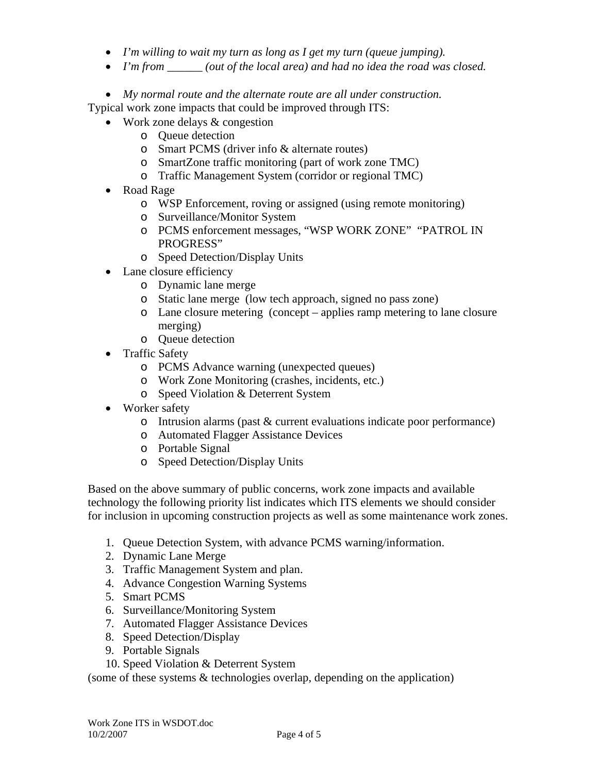- *I'm willing to wait my turn as long as I get my turn (queue jumping).*
- *I'm from \_\_\_\_\_\_ (out of the local area) and had no idea the road was closed.*

• *My normal route and the alternate route are all under construction.* 

Typical work zone impacts that could be improved through ITS:

- Work zone delays & congestion
	- o Queue detection
	- o Smart PCMS (driver info & alternate routes)
	- o SmartZone traffic monitoring (part of work zone TMC)
	- o Traffic Management System (corridor or regional TMC)
- Road Rage
	- o WSP Enforcement, roving or assigned (using remote monitoring)
	- o Surveillance/Monitor System
	- o PCMS enforcement messages, "WSP WORK ZONE" "PATROL IN PROGRESS"
	- o Speed Detection/Display Units
- Lane closure efficiency
	- o Dynamic lane merge
	- o Static lane merge (low tech approach, signed no pass zone)
	- o Lane closure metering (concept applies ramp metering to lane closure merging)
	- o Queue detection
- Traffic Safety
	- o PCMS Advance warning (unexpected queues)
	- o Work Zone Monitoring (crashes, incidents, etc.)
	- o Speed Violation & Deterrent System
- Worker safety
	- o Intrusion alarms (past & current evaluations indicate poor performance)
	- o Automated Flagger Assistance Devices
	- o Portable Signal
	- o Speed Detection/Display Units

Based on the above summary of public concerns, work zone impacts and available technology the following priority list indicates which ITS elements we should consider for inclusion in upcoming construction projects as well as some maintenance work zones.

- 1. Queue Detection System, with advance PCMS warning/information.
- 2. Dynamic Lane Merge
- 3. Traffic Management System and plan.
- 4. Advance Congestion Warning Systems
- 5. Smart PCMS
- 6. Surveillance/Monitoring System
- 7. Automated Flagger Assistance Devices
- 8. Speed Detection/Display
- 9. Portable Signals
- 10. Speed Violation & Deterrent System

(some of these systems & technologies overlap, depending on the application)